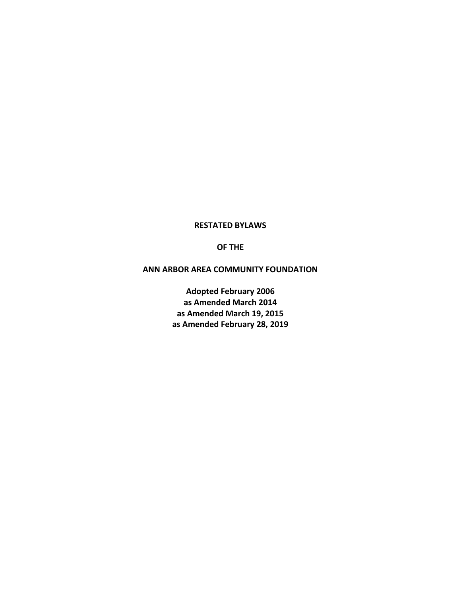#### **RESTATED BYLAWS**

#### **OF THE**

#### **ANN ARBOR AREA COMMUNITY FOUNDATION**

**Adopted February 2006 as Amended March 2014 as Amended March 19, 2015 as Amended February 28, 2019**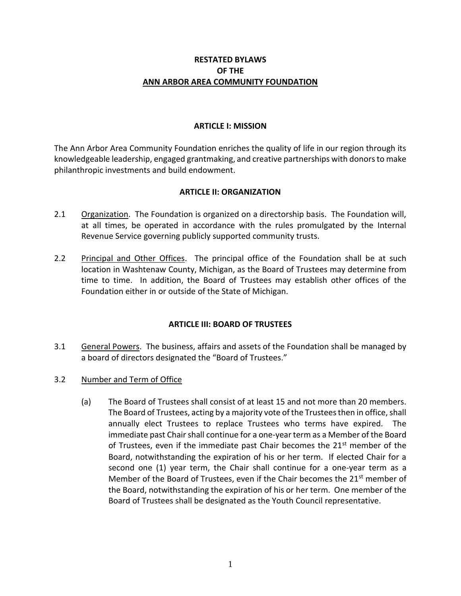## **RESTATED BYLAWS OF THE ANN ARBOR AREA COMMUNITY FOUNDATION**

## **ARTICLE I: MISSION**

The Ann Arbor Area Community Foundation enriches the quality of life in our region through its knowledgeable leadership, engaged grantmaking, and creative partnerships with donors to make philanthropic investments and build endowment.

# **ARTICLE II: ORGANIZATION**

- 2.1 Organization. The Foundation is organized on a directorship basis. The Foundation will, at all times, be operated in accordance with the rules promulgated by the Internal Revenue Service governing publicly supported community trusts.
- 2.2 Principal and Other Offices. The principal office of the Foundation shall be at such location in Washtenaw County, Michigan, as the Board of Trustees may determine from time to time. In addition, the Board of Trustees may establish other offices of the Foundation either in or outside of the State of Michigan.

# **ARTICLE III: BOARD OF TRUSTEES**

- 3.1 General Powers. The business, affairs and assets of the Foundation shall be managed by a board of directors designated the "Board of Trustees."
- 3.2 Number and Term of Office
	- (a) The Board of Trustees shall consist of at least 15 and not more than 20 members. The Board of Trustees, acting by a majority vote of the Trustees then in office, shall annually elect Trustees to replace Trustees who terms have expired. The immediate past Chair shall continue for a one-year term as a Member of the Board of Trustees, even if the immediate past Chair becomes the  $21<sup>st</sup>$  member of the Board, notwithstanding the expiration of his or her term. If elected Chair for a second one (1) year term, the Chair shall continue for a one-year term as a Member of the Board of Trustees, even if the Chair becomes the 21<sup>st</sup> member of the Board, notwithstanding the expiration of his or her term. One member of the Board of Trustees shall be designated as the Youth Council representative.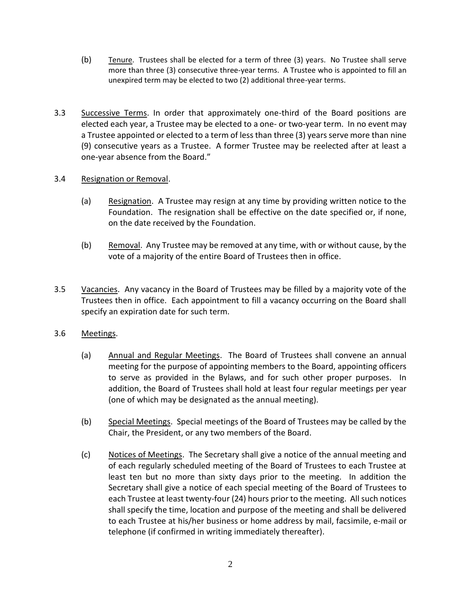- (b) Tenure. Trustees shall be elected for a term of three (3) years. No Trustee shall serve more than three (3) consecutive three-year terms. A Trustee who is appointed to fill an unexpired term may be elected to two (2) additional three-year terms.
- 3.3 Successive Terms. In order that approximately one-third of the Board positions are elected each year, a Trustee may be elected to a one- or two-year term. In no event may a Trustee appointed or elected to a term of less than three (3) years serve more than nine (9) consecutive years as a Trustee. A former Trustee may be reelected after at least a one-year absence from the Board."

## 3.4 Resignation or Removal.

- (a) Resignation. A Trustee may resign at any time by providing written notice to the Foundation. The resignation shall be effective on the date specified or, if none, on the date received by the Foundation.
- (b) Removal. Any Trustee may be removed at any time, with or without cause, by the vote of a majority of the entire Board of Trustees then in office.
- 3.5 Vacancies. Any vacancy in the Board of Trustees may be filled by a majority vote of the Trustees then in office. Each appointment to fill a vacancy occurring on the Board shall specify an expiration date for such term.

### 3.6 Meetings.

- (a) Annual and Regular Meetings. The Board of Trustees shall convene an annual meeting for the purpose of appointing members to the Board, appointing officers to serve as provided in the Bylaws, and for such other proper purposes. In addition, the Board of Trustees shall hold at least four regular meetings per year (one of which may be designated as the annual meeting).
- (b) Special Meetings. Special meetings of the Board of Trustees may be called by the Chair, the President, or any two members of the Board.
- (c) Notices of Meetings. The Secretary shall give a notice of the annual meeting and of each regularly scheduled meeting of the Board of Trustees to each Trustee at least ten but no more than sixty days prior to the meeting. In addition the Secretary shall give a notice of each special meeting of the Board of Trustees to each Trustee at least twenty-four (24) hours prior to the meeting. All such notices shall specify the time, location and purpose of the meeting and shall be delivered to each Trustee at his/her business or home address by mail, facsimile, e-mail or telephone (if confirmed in writing immediately thereafter).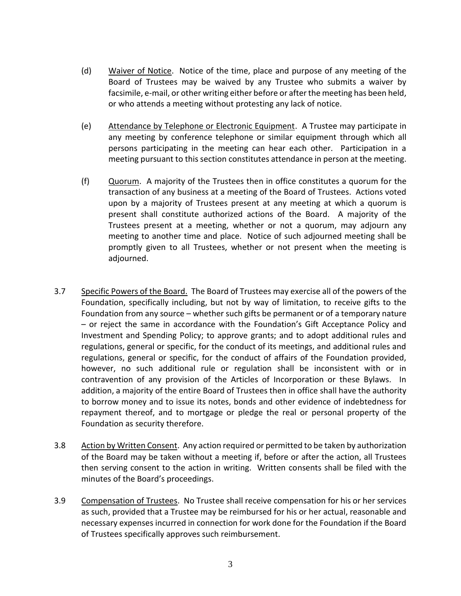- (d) Waiver of Notice. Notice of the time, place and purpose of any meeting of the Board of Trustees may be waived by any Trustee who submits a waiver by facsimile, e-mail, or other writing either before or after the meeting has been held, or who attends a meeting without protesting any lack of notice.
- (e) Attendance by Telephone or Electronic Equipment. A Trustee may participate in any meeting by conference telephone or similar equipment through which all persons participating in the meeting can hear each other. Participation in a meeting pursuant to this section constitutes attendance in person at the meeting.
- (f) Quorum. A majority of the Trustees then in office constitutes a quorum for the transaction of any business at a meeting of the Board of Trustees. Actions voted upon by a majority of Trustees present at any meeting at which a quorum is present shall constitute authorized actions of the Board. A majority of the Trustees present at a meeting, whether or not a quorum, may adjourn any meeting to another time and place. Notice of such adjourned meeting shall be promptly given to all Trustees, whether or not present when the meeting is adjourned.
- 3.7 Specific Powers of the Board. The Board of Trustees may exercise all of the powers of the Foundation, specifically including, but not by way of limitation, to receive gifts to the Foundation from any source – whether such gifts be permanent or of a temporary nature – or reject the same in accordance with the Foundation's Gift Acceptance Policy and Investment and Spending Policy; to approve grants; and to adopt additional rules and regulations, general or specific, for the conduct of its meetings, and additional rules and regulations, general or specific, for the conduct of affairs of the Foundation provided, however, no such additional rule or regulation shall be inconsistent with or in contravention of any provision of the Articles of Incorporation or these Bylaws. In addition, a majority of the entire Board of Trustees then in office shall have the authority to borrow money and to issue its notes, bonds and other evidence of indebtedness for repayment thereof, and to mortgage or pledge the real or personal property of the Foundation as security therefore.
- 3.8 Action by Written Consent. Any action required or permitted to be taken by authorization of the Board may be taken without a meeting if, before or after the action, all Trustees then serving consent to the action in writing. Written consents shall be filed with the minutes of the Board's proceedings.
- 3.9 Compensation of Trustees. No Trustee shall receive compensation for his or her services as such, provided that a Trustee may be reimbursed for his or her actual, reasonable and necessary expenses incurred in connection for work done for the Foundation if the Board of Trustees specifically approves such reimbursement.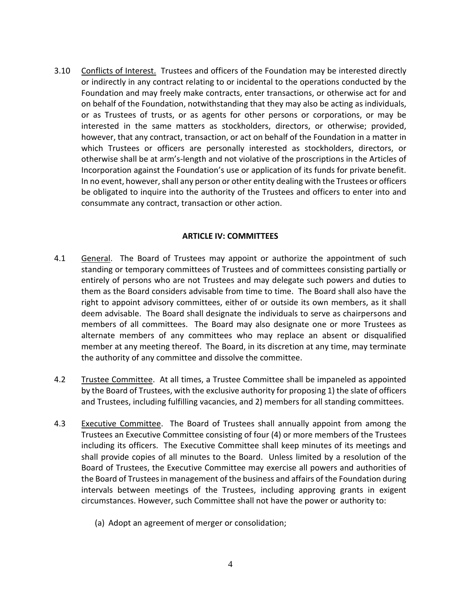3.10 Conflicts of Interest. Trustees and officers of the Foundation may be interested directly or indirectly in any contract relating to or incidental to the operations conducted by the Foundation and may freely make contracts, enter transactions, or otherwise act for and on behalf of the Foundation, notwithstanding that they may also be acting as individuals, or as Trustees of trusts, or as agents for other persons or corporations, or may be interested in the same matters as stockholders, directors, or otherwise; provided, however, that any contract, transaction, or act on behalf of the Foundation in a matter in which Trustees or officers are personally interested as stockholders, directors, or otherwise shall be at arm's-length and not violative of the proscriptions in the Articles of Incorporation against the Foundation's use or application of its funds for private benefit. In no event, however, shall any person or other entity dealing with the Trustees or officers be obligated to inquire into the authority of the Trustees and officers to enter into and consummate any contract, transaction or other action.

### **ARTICLE IV: COMMITTEES**

- 4.1 General. The Board of Trustees may appoint or authorize the appointment of such standing or temporary committees of Trustees and of committees consisting partially or entirely of persons who are not Trustees and may delegate such powers and duties to them as the Board considers advisable from time to time. The Board shall also have the right to appoint advisory committees, either of or outside its own members, as it shall deem advisable. The Board shall designate the individuals to serve as chairpersons and members of all committees. The Board may also designate one or more Trustees as alternate members of any committees who may replace an absent or disqualified member at any meeting thereof. The Board, in its discretion at any time, may terminate the authority of any committee and dissolve the committee.
- 4.2 Trustee Committee. At all times, a Trustee Committee shall be impaneled as appointed by the Board of Trustees, with the exclusive authority for proposing 1) the slate of officers and Trustees, including fulfilling vacancies, and 2) members for all standing committees.
- 4.3 Executive Committee. The Board of Trustees shall annually appoint from among the Trustees an Executive Committee consisting of four (4) or more members of the Trustees including its officers. The Executive Committee shall keep minutes of its meetings and shall provide copies of all minutes to the Board. Unless limited by a resolution of the Board of Trustees, the Executive Committee may exercise all powers and authorities of the Board of Trustees in management of the business and affairs of the Foundation during intervals between meetings of the Trustees, including approving grants in exigent circumstances. However, such Committee shall not have the power or authority to:
	- (a) Adopt an agreement of merger or consolidation;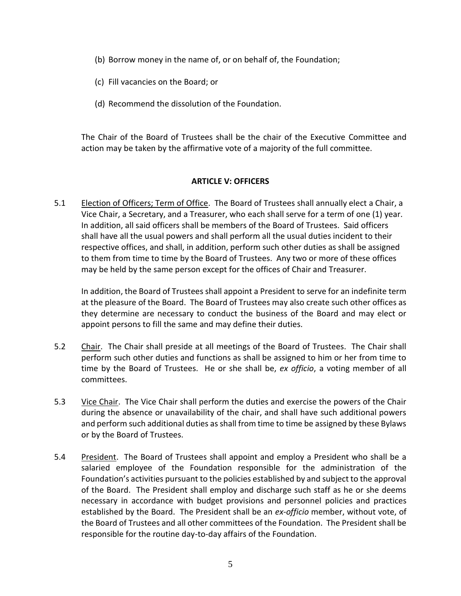- (b) Borrow money in the name of, or on behalf of, the Foundation;
- (c) Fill vacancies on the Board; or
- (d) Recommend the dissolution of the Foundation.

The Chair of the Board of Trustees shall be the chair of the Executive Committee and action may be taken by the affirmative vote of a majority of the full committee.

### **ARTICLE V: OFFICERS**

5.1 Election of Officers; Term of Office. The Board of Trustees shall annually elect a Chair, a Vice Chair, a Secretary, and a Treasurer, who each shall serve for a term of one (1) year. In addition, all said officers shall be members of the Board of Trustees. Said officers shall have all the usual powers and shall perform all the usual duties incident to their respective offices, and shall, in addition, perform such other duties as shall be assigned to them from time to time by the Board of Trustees. Any two or more of these offices may be held by the same person except for the offices of Chair and Treasurer.

In addition, the Board of Trustees shall appoint a President to serve for an indefinite term at the pleasure of the Board. The Board of Trustees may also create such other offices as they determine are necessary to conduct the business of the Board and may elect or appoint persons to fill the same and may define their duties.

- 5.2 Chair. The Chair shall preside at all meetings of the Board of Trustees. The Chair shall perform such other duties and functions as shall be assigned to him or her from time to time by the Board of Trustees. He or she shall be, *ex officio*, a voting member of all committees.
- 5.3 Vice Chair. The Vice Chair shall perform the duties and exercise the powers of the Chair during the absence or unavailability of the chair, and shall have such additional powers and perform such additional duties as shall from time to time be assigned by these Bylaws or by the Board of Trustees.
- 5.4 President. The Board of Trustees shall appoint and employ a President who shall be a salaried employee of the Foundation responsible for the administration of the Foundation's activities pursuant to the policies established by and subject to the approval of the Board. The President shall employ and discharge such staff as he or she deems necessary in accordance with budget provisions and personnel policies and practices established by the Board. The President shall be an *ex-officio* member, without vote, of the Board of Trustees and all other committees of the Foundation. The President shall be responsible for the routine day-to-day affairs of the Foundation.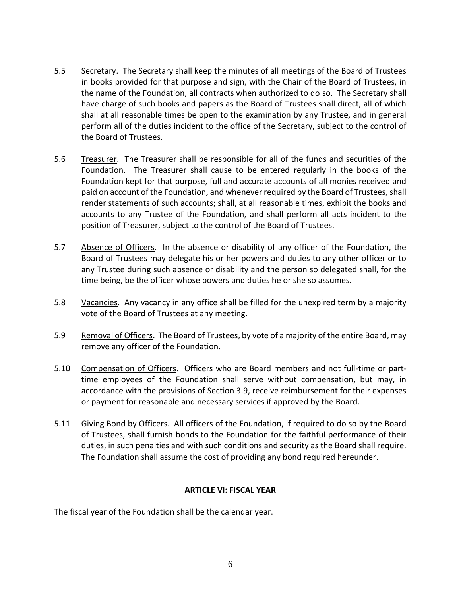- 5.5 Secretary. The Secretary shall keep the minutes of all meetings of the Board of Trustees in books provided for that purpose and sign, with the Chair of the Board of Trustees, in the name of the Foundation, all contracts when authorized to do so. The Secretary shall have charge of such books and papers as the Board of Trustees shall direct, all of which shall at all reasonable times be open to the examination by any Trustee, and in general perform all of the duties incident to the office of the Secretary, subject to the control of the Board of Trustees.
- 5.6 Treasurer. The Treasurer shall be responsible for all of the funds and securities of the Foundation. The Treasurer shall cause to be entered regularly in the books of the Foundation kept for that purpose, full and accurate accounts of all monies received and paid on account of the Foundation, and whenever required by the Board of Trustees, shall render statements of such accounts; shall, at all reasonable times, exhibit the books and accounts to any Trustee of the Foundation, and shall perform all acts incident to the position of Treasurer, subject to the control of the Board of Trustees.
- 5.7 Absence of Officers. In the absence or disability of any officer of the Foundation, the Board of Trustees may delegate his or her powers and duties to any other officer or to any Trustee during such absence or disability and the person so delegated shall, for the time being, be the officer whose powers and duties he or she so assumes.
- 5.8 Vacancies. Any vacancy in any office shall be filled for the unexpired term by a majority vote of the Board of Trustees at any meeting.
- 5.9 Removal of Officers. The Board of Trustees, by vote of a majority of the entire Board, may remove any officer of the Foundation.
- 5.10 Compensation of Officers. Officers who are Board members and not full-time or parttime employees of the Foundation shall serve without compensation, but may, in accordance with the provisions of Section 3.9, receive reimbursement for their expenses or payment for reasonable and necessary services if approved by the Board.
- 5.11 Giving Bond by Officers. All officers of the Foundation, if required to do so by the Board of Trustees, shall furnish bonds to the Foundation for the faithful performance of their duties, in such penalties and with such conditions and security as the Board shall require. The Foundation shall assume the cost of providing any bond required hereunder.

### **ARTICLE VI: FISCAL YEAR**

The fiscal year of the Foundation shall be the calendar year.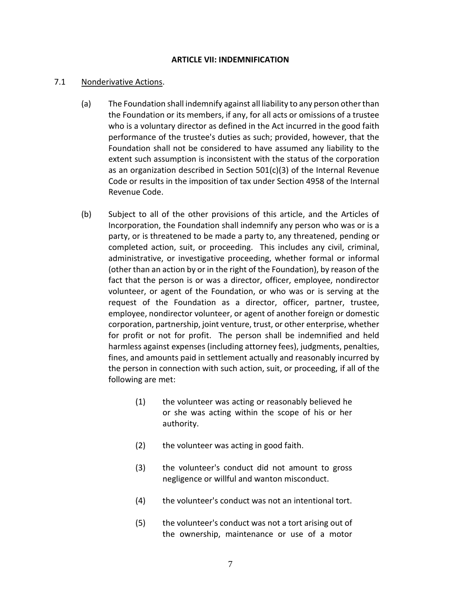#### **ARTICLE VII: INDEMNIFICATION**

#### 7.1 Nonderivative Actions.

- (a) The Foundation shall indemnify against all liability to any person other than the Foundation or its members, if any, for all acts or omissions of a trustee who is a voluntary director as defined in the Act incurred in the good faith performance of the trustee's duties as such; provided, however, that the Foundation shall not be considered to have assumed any liability to the extent such assumption is inconsistent with the status of the corporation as an organization described in Section 501(c)(3) of the Internal Revenue Code or results in the imposition of tax under Section 4958 of the Internal Revenue Code.
- (b) Subject to all of the other provisions of this article, and the Articles of Incorporation, the Foundation shall indemnify any person who was or is a party, or is threatened to be made a party to, any threatened, pending or completed action, suit, or proceeding. This includes any civil, criminal, administrative, or investigative proceeding, whether formal or informal (other than an action by or in the right of the Foundation), by reason of the fact that the person is or was a director, officer, employee, nondirector volunteer, or agent of the Foundation, or who was or is serving at the request of the Foundation as a director, officer, partner, trustee, employee, nondirector volunteer, or agent of another foreign or domestic corporation, partnership, joint venture, trust, or other enterprise, whether for profit or not for profit. The person shall be indemnified and held harmless against expenses (including attorney fees), judgments, penalties, fines, and amounts paid in settlement actually and reasonably incurred by the person in connection with such action, suit, or proceeding, if all of the following are met:
	- (1) the volunteer was acting or reasonably believed he or she was acting within the scope of his or her authority.
	- (2) the volunteer was acting in good faith.
	- (3) the volunteer's conduct did not amount to gross negligence or willful and wanton misconduct.
	- (4) the volunteer's conduct was not an intentional tort.
	- (5) the volunteer's conduct was not a tort arising out of the ownership, maintenance or use of a motor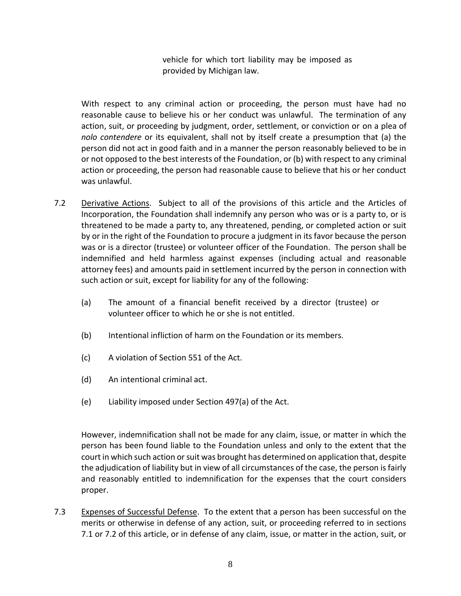vehicle for which tort liability may be imposed as provided by Michigan law.

With respect to any criminal action or proceeding, the person must have had no reasonable cause to believe his or her conduct was unlawful. The termination of any action, suit, or proceeding by judgment, order, settlement, or conviction or on a plea of *nolo contendere* or its equivalent, shall not by itself create a presumption that (a) the person did not act in good faith and in a manner the person reasonably believed to be in or not opposed to the best interests of the Foundation, or (b) with respect to any criminal action or proceeding, the person had reasonable cause to believe that his or her conduct was unlawful.

- 7.2 Derivative Actions. Subject to all of the provisions of this article and the Articles of Incorporation, the Foundation shall indemnify any person who was or is a party to, or is threatened to be made a party to, any threatened, pending, or completed action or suit by or in the right of the Foundation to procure a judgment in its favor because the person was or is a director (trustee) or volunteer officer of the Foundation. The person shall be indemnified and held harmless against expenses (including actual and reasonable attorney fees) and amounts paid in settlement incurred by the person in connection with such action or suit, except for liability for any of the following:
	- (a) The amount of a financial benefit received by a director (trustee) or volunteer officer to which he or she is not entitled.
	- (b) Intentional infliction of harm on the Foundation or its members.
	- (c) A violation of Section 551 of the Act.
	- (d) An intentional criminal act.
	- (e) Liability imposed under Section 497(a) of the Act.

However, indemnification shall not be made for any claim, issue, or matter in which the person has been found liable to the Foundation unless and only to the extent that the court in which such action or suit was brought has determined on application that, despite the adjudication of liability but in view of all circumstances of the case, the person is fairly and reasonably entitled to indemnification for the expenses that the court considers proper.

7.3 Expenses of Successful Defense. To the extent that a person has been successful on the merits or otherwise in defense of any action, suit, or proceeding referred to in sections 7.1 or 7.2 of this article, or in defense of any claim, issue, or matter in the action, suit, or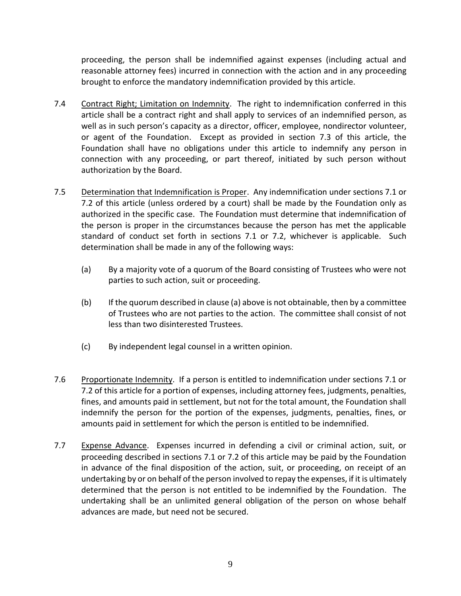proceeding, the person shall be indemnified against expenses (including actual and reasonable attorney fees) incurred in connection with the action and in any proceeding brought to enforce the mandatory indemnification provided by this article.

- 7.4 Contract Right; Limitation on Indemnity. The right to indemnification conferred in this article shall be a contract right and shall apply to services of an indemnified person, as well as in such person's capacity as a director, officer, employee, nondirector volunteer, or agent of the Foundation. Except as provided in section 7.3 of this article, the Foundation shall have no obligations under this article to indemnify any person in connection with any proceeding, or part thereof, initiated by such person without authorization by the Board.
- 7.5 Determination that Indemnification is Proper. Any indemnification under sections 7.1 or 7.2 of this article (unless ordered by a court) shall be made by the Foundation only as authorized in the specific case. The Foundation must determine that indemnification of the person is proper in the circumstances because the person has met the applicable standard of conduct set forth in sections 7.1 or 7.2, whichever is applicable. Such determination shall be made in any of the following ways:
	- (a) By a majority vote of a quorum of the Board consisting of Trustees who were not parties to such action, suit or proceeding.
	- (b) If the quorum described in clause (a) above is not obtainable, then by a committee of Trustees who are not parties to the action. The committee shall consist of not less than two disinterested Trustees.
	- (c) By independent legal counsel in a written opinion.
- 7.6 Proportionate Indemnity. If a person is entitled to indemnification under sections 7.1 or 7.2 of this article for a portion of expenses, including attorney fees, judgments, penalties, fines, and amounts paid in settlement, but not for the total amount, the Foundation shall indemnify the person for the portion of the expenses, judgments, penalties, fines, or amounts paid in settlement for which the person is entitled to be indemnified.
- 7.7 Expense Advance. Expenses incurred in defending a civil or criminal action, suit, or proceeding described in sections 7.1 or 7.2 of this article may be paid by the Foundation in advance of the final disposition of the action, suit, or proceeding, on receipt of an undertaking by or on behalf of the person involved to repay the expenses, if it is ultimately determined that the person is not entitled to be indemnified by the Foundation. The undertaking shall be an unlimited general obligation of the person on whose behalf advances are made, but need not be secured.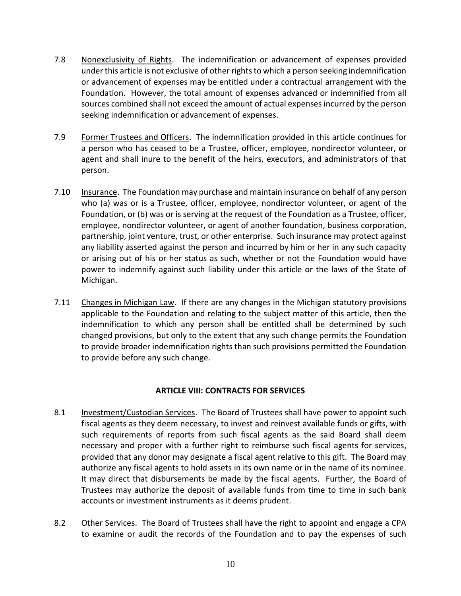- 7.8 Nonexclusivity of Rights. The indemnification or advancement of expenses provided under this article is not exclusive of other rights to which a person seeking indemnification or advancement of expenses may be entitled under a contractual arrangement with the Foundation. However, the total amount of expenses advanced or indemnified from all sources combined shall not exceed the amount of actual expenses incurred by the person seeking indemnification or advancement of expenses.
- 7.9 Former Trustees and Officers. The indemnification provided in this article continues for a person who has ceased to be a Trustee, officer, employee, nondirector volunteer, or agent and shall inure to the benefit of the heirs, executors, and administrators of that person.
- 7.10 Insurance. The Foundation may purchase and maintain insurance on behalf of any person who (a) was or is a Trustee, officer, employee, nondirector volunteer, or agent of the Foundation, or (b) was or is serving at the request of the Foundation as a Trustee, officer, employee, nondirector volunteer, or agent of another foundation, business corporation, partnership, joint venture, trust, or other enterprise. Such insurance may protect against any liability asserted against the person and incurred by him or her in any such capacity or arising out of his or her status as such, whether or not the Foundation would have power to indemnify against such liability under this article or the laws of the State of Michigan.
- 7.11 Changes in Michigan Law. If there are any changes in the Michigan statutory provisions applicable to the Foundation and relating to the subject matter of this article, then the indemnification to which any person shall be entitled shall be determined by such changed provisions, but only to the extent that any such change permits the Foundation to provide broader indemnification rights than such provisions permitted the Foundation to provide before any such change.

# **ARTICLE VIII: CONTRACTS FOR SERVICES**

- 8.1 Investment/Custodian Services. The Board of Trustees shall have power to appoint such fiscal agents as they deem necessary, to invest and reinvest available funds or gifts, with such requirements of reports from such fiscal agents as the said Board shall deem necessary and proper with a further right to reimburse such fiscal agents for services, provided that any donor may designate a fiscal agent relative to this gift. The Board may authorize any fiscal agents to hold assets in its own name or in the name of its nominee. It may direct that disbursements be made by the fiscal agents. Further, the Board of Trustees may authorize the deposit of available funds from time to time in such bank accounts or investment instruments as it deems prudent.
- 8.2 Other Services. The Board of Trustees shall have the right to appoint and engage a CPA to examine or audit the records of the Foundation and to pay the expenses of such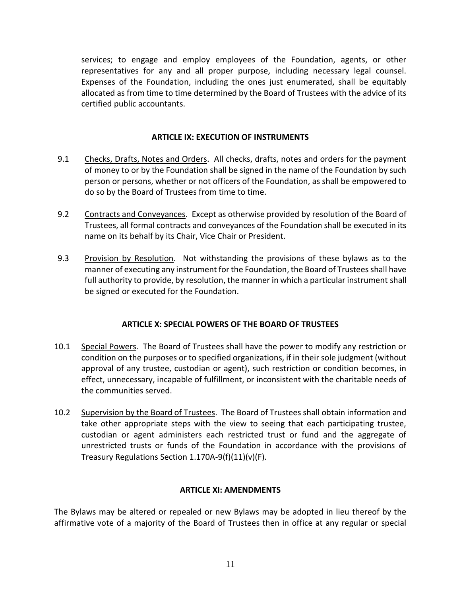services; to engage and employ employees of the Foundation, agents, or other representatives for any and all proper purpose, including necessary legal counsel. Expenses of the Foundation, including the ones just enumerated, shall be equitably allocated as from time to time determined by the Board of Trustees with the advice of its certified public accountants.

## **ARTICLE IX: EXECUTION OF INSTRUMENTS**

- 9.1 Checks, Drafts, Notes and Orders. All checks, drafts, notes and orders for the payment of money to or by the Foundation shall be signed in the name of the Foundation by such person or persons, whether or not officers of the Foundation, as shall be empowered to do so by the Board of Trustees from time to time.
- 9.2 Contracts and Conveyances. Except as otherwise provided by resolution of the Board of Trustees, all formal contracts and conveyances of the Foundation shall be executed in its name on its behalf by its Chair, Vice Chair or President.
- 9.3 Provision by Resolution. Not withstanding the provisions of these bylaws as to the manner of executing any instrument for the Foundation, the Board of Trustees shall have full authority to provide, by resolution, the manner in which a particular instrument shall be signed or executed for the Foundation.

### **ARTICLE X: SPECIAL POWERS OF THE BOARD OF TRUSTEES**

- 10.1 Special Powers. The Board of Trustees shall have the power to modify any restriction or condition on the purposes or to specified organizations, if in their sole judgment (without approval of any trustee, custodian or agent), such restriction or condition becomes, in effect, unnecessary, incapable of fulfillment, or inconsistent with the charitable needs of the communities served.
- 10.2 Supervision by the Board of Trustees. The Board of Trustees shall obtain information and take other appropriate steps with the view to seeing that each participating trustee, custodian or agent administers each restricted trust or fund and the aggregate of unrestricted trusts or funds of the Foundation in accordance with the provisions of Treasury Regulations Section 1.170A-9(f)(11)(v)(F).

# **ARTICLE XI: AMENDMENTS**

The Bylaws may be altered or repealed or new Bylaws may be adopted in lieu thereof by the affirmative vote of a majority of the Board of Trustees then in office at any regular or special